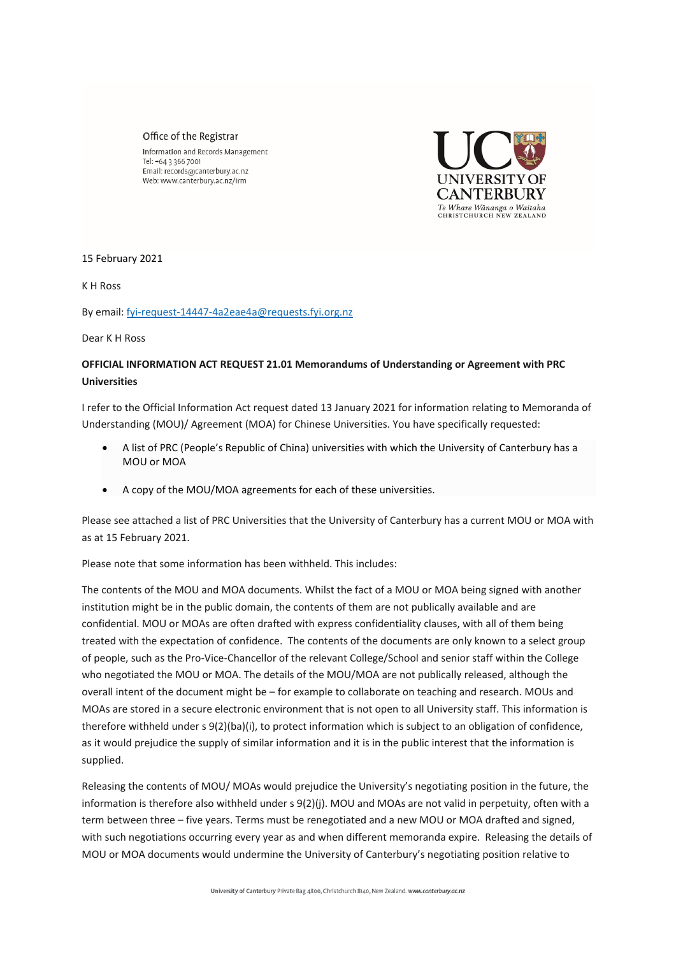## Office of the Registrar

Information and Records Management Tel: +64 3 366 7001 Email: records@canterbury.ac.nz Web: www.canterbury.ac.nz/irm



## 15 February 2021

K H Ross

By email[: fyi-request-14447-4a2eae4a@requests.fyi.org.nz](mailto:xxxxxxxxxxxxxxxxxxxxxxxxxx@xxxxxxxx.xxx.xxx.xx) 

Dear K H Ross

## **OFFICIAL INFORMATION ACT REQUEST 21.01 Memorandums of Understanding or Agreement with PRC Universities**

I refer to the Official Information Act request dated 13 January 2021 for information relating to Memoranda of Understanding (MOU)/ Agreement (MOA) for Chinese Universities. You have specifically requested:

- A list of PRC (People's Republic of China) universities with which the University of Canterbury has a MOU or MOA
- A copy of the MOU/MOA agreements for each of these universities.

Please see attached a list of PRC Universities that the University of Canterbury has a current MOU or MOA with as at 15 February 2021.

Please note that some information has been withheld. This includes:

The contents of the MOU and MOA documents. Whilst the fact of a MOU or MOA being signed with another institution might be in the public domain, the contents of them are not publically available and are confidential. MOU or MOAs are often drafted with express confidentiality clauses, with all of them being treated with the expectation of confidence. The contents of the documents are only known to a select group of people, such as the Pro-Vice-Chancellor of the relevant College/School and senior staff within the College who negotiated the MOU or MOA. The details of the MOU/MOA are not publically released, although the overall intent of the document might be – for example to collaborate on teaching and research. MOUs and MOAs are stored in a secure electronic environment that is not open to all University staff. This information is therefore withheld under s 9(2)(ba)(i), to protect information which is subject to an obligation of confidence, as it would prejudice the supply of similar information and it is in the public interest that the information is supplied.

Releasing the contents of MOU/ MOAs would prejudice the University's negotiating position in the future, the information is therefore also withheld under s 9(2)(j). MOU and MOAs are not valid in perpetuity, often with a term between three – five years. Terms must be renegotiated and a new MOU or MOA drafted and signed, with such negotiations occurring every year as and when different memoranda expire. Releasing the details of MOU or MOA documents would undermine the University of Canterbury's negotiating position relative to